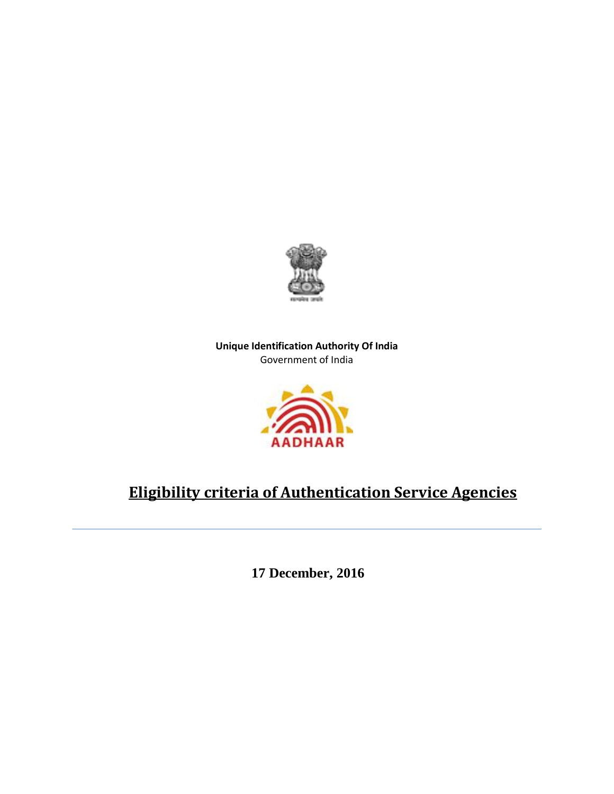

**Unique Identification Authority Of India** Government of India



# **Eligibility criteria of Authentication Service Agencies**

 **17 December, 2016**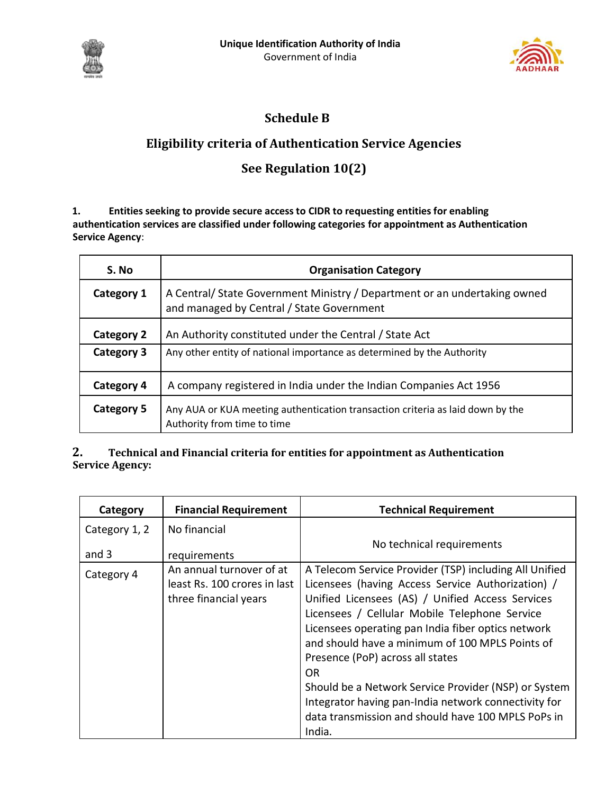



# **Schedule B**

### **Eligibility criteria of Authentication Service Agencies**

# **See Regulation 10(2)**

**1. Entities seeking to provide secure access to CIDR to requesting entities for enabling authentication services are classified under following categories for appointment as Authentication Service Agency**:

| S. No             | <b>Organisation Category</b>                                                                                          |  |
|-------------------|-----------------------------------------------------------------------------------------------------------------------|--|
| Category 1        | A Central/State Government Ministry / Department or an undertaking owned<br>and managed by Central / State Government |  |
| <b>Category 2</b> | An Authority constituted under the Central / State Act                                                                |  |
| <b>Category 3</b> | Any other entity of national importance as determined by the Authority                                                |  |
| <b>Category 4</b> | A company registered in India under the Indian Companies Act 1956                                                     |  |
| Category 5        | Any AUA or KUA meeting authentication transaction criteria as laid down by the<br>Authority from time to time         |  |

#### **2. Technical and Financial criteria for entities for appointment as Authentication Service Agency:**

| Category      | <b>Financial Requirement</b>                                                      | <b>Technical Requirement</b>                                                                                                                                                                                                                                                                                                                                                                                                                                                                                                                                    |
|---------------|-----------------------------------------------------------------------------------|-----------------------------------------------------------------------------------------------------------------------------------------------------------------------------------------------------------------------------------------------------------------------------------------------------------------------------------------------------------------------------------------------------------------------------------------------------------------------------------------------------------------------------------------------------------------|
| Category 1, 2 | No financial                                                                      |                                                                                                                                                                                                                                                                                                                                                                                                                                                                                                                                                                 |
| and 3         | requirements                                                                      | No technical requirements                                                                                                                                                                                                                                                                                                                                                                                                                                                                                                                                       |
| Category 4    | An annual turnover of at<br>least Rs. 100 crores in last<br>three financial years | A Telecom Service Provider (TSP) including All Unified<br>Licensees (having Access Service Authorization) /<br>Unified Licensees (AS) / Unified Access Services<br>Licensees / Cellular Mobile Telephone Service<br>Licensees operating pan India fiber optics network<br>and should have a minimum of 100 MPLS Points of<br>Presence (PoP) across all states<br>0 <sub>R</sub><br>Should be a Network Service Provider (NSP) or System<br>Integrator having pan-India network connectivity for<br>data transmission and should have 100 MPLS PoPs in<br>India. |